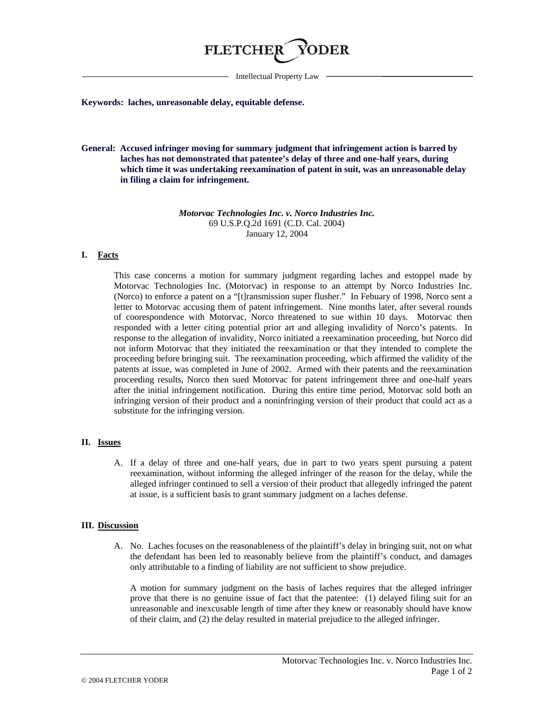

Intellectual Property Law

#### **Keywords: laches, unreasonable delay, equitable defense.**

**General: Accused infringer moving for summary judgment that infringement action is barred by laches has not demonstrated that patentee's delay of three and one-half years, during which time it was undertaking reexamination of patent in suit, was an unreasonable delay in filing a claim for infringement.** 

> *Motorvac Technologies Inc. v. Norco Industries Inc.* 69 U.S.P.Q.2d 1691 (C.D. Cal. 2004) January 12, 2004

### **I. Facts**

This case concerns a motion for summary judgment regarding laches and estoppel made by Motorvac Technologies Inc. (Motorvac) in response to an attempt by Norco Industries Inc. (Norco) to enforce a patent on a "[t]ransmission super flusher." In Febuary of 1998, Norco sent a letter to Motorvac accusing them of patent infringement. Nine months later, after several rounds of coorespondence with Motorvac, Norco threatened to sue within 10 days. Motorvac then responded with a letter citing potential prior art and alleging invalidity of Norco's patents. In response to the allegation of invalidity, Norco initiated a reexamination proceeding, but Norco did not inform Motorvac that they initiated the reexamination or that they intended to complete the proceeding before bringing suit. The reexamination proceeding, which affirmed the validity of the patents at issue, was completed in June of 2002. Armed with their patents and the reexamination proceeding results, Norco then sued Motorvac for patent infringement three and one-half years after the initial infringement notification. During this entire time period, Motorvac sold both an infringing version of their product and a noninfringing version of their product that could act as a substitute for the infringing version.

# **II. Issues**

A. If a delay of three and one-half years, due in part to two years spent pursuing a patent reexamination, without informing the alleged infringer of the reason for the delay, while the alleged infringer continued to sell a version of their product that allegedly infringed the patent at issue, is a sufficient basis to grant summary judgment on a laches defense.

### **III. Discussion**

A. No. Laches focuses on the reasonableness of the plaintiff's delay in bringing suit, not on what the defendant has been led to reasonably believe from the plaintiff's conduct, and damages only attributable to a finding of liability are not sufficient to show prejudice.

A motion for summary judgment on the basis of laches requires that the alleged infringer prove that there is no genuine issue of fact that the patentee: (1) delayed filing suit for an unreasonable and inexcusable length of time after they knew or reasonably should have know of their claim, and (2) the delay resulted in material prejudice to the alleged infringer.